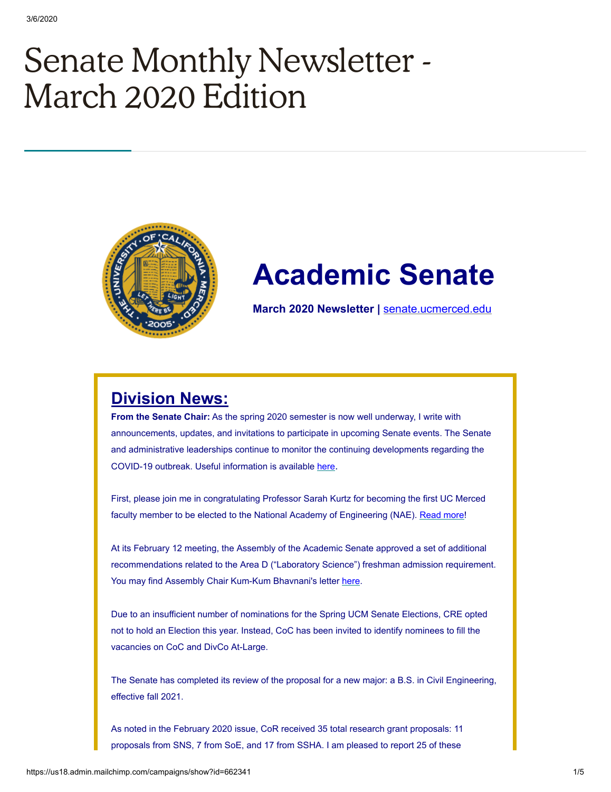# Senate Monthly Newsletter - March 2020 Edition



## **Academic Senate**

**March 2020 Newsletter |** [senate.ucmerced.edu](http://senate.ucmerced.edu/)

## **Division News:**

**From the Senate Chair:** As the spring 2020 semester is now well underway, I write with announcements, updates, and invitations to participate in upcoming Senate events. The Senate and administrative leaderships continue to monitor the continuing developments regarding the COVID-19 outbreak. Useful information is available [here](https://ucnet.universityofcalifornia.edu/news/2020/01/ucs-response-to-coronavirus.html).

First, please join me in congratulating Professor Sarah Kurtz for becoming the first UC Merced faculty member to be elected to the National Academy of Engineering (NAE). [Read more](https://news.ucmerced.edu/news/2020/national-academy-engineering-elects-kurtz-its-ranks)!

At its February 12 meeting, the Assembly of the Academic Senate approved a set of additional recommendations related to the Area D ("Laboratory Science") freshman admission requirement. You may find Assembly Chair Kum-Kum Bhavnani's letter [here](https://senate.universityofcalifornia.edu/_files/reports/kkb-jn-assembly-area-d-february-2020.pdf).

Due to an insufficient number of nominations for the Spring UCM Senate Elections, CRE opted not to hold an Election this year. Instead, CoC has been invited to identify nominees to fill the vacancies on CoC and DivCo At-Large.

The Senate has completed its review of the proposal for a new major: a B.S. in Civil Engineering, effective fall 2021.

As noted in the February 2020 issue, CoR received 35 total research grant proposals: 11 proposals from SNS, 7 from SoE, and 17 from SSHA. I am pleased to report 25 of these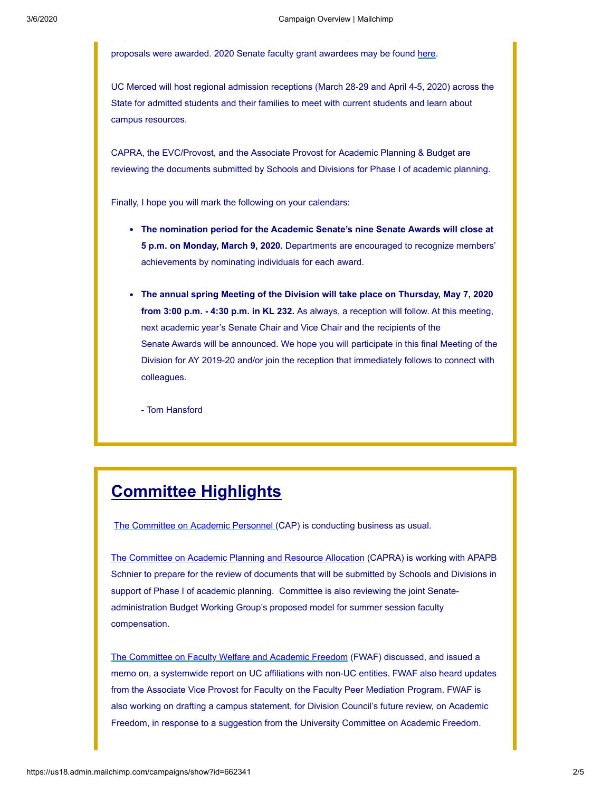proposals were awarded. 2020 Senate faculty grant awardees may be found [here.](https://senate.ucmerced.edu/sites/senate.ucmerced.edu/files/page/documents/summary_of_senate_grant_awardees_2020.pdf)

p p p p

UC Merced will host regional admission receptions (March 28-29 and April 4-5, 2020) across the State for admitted students and their families to meet with current students and learn about campus resources.

CAPRA, the EVC/Provost, and the Associate Provost for Academic Planning & Budget are reviewing the documents submitted by Schools and Divisions for Phase I of academic planning.

Finally, I hope you will mark the following on your calendars:

- **The nomination period for the Academic Senate's nine Senate Awards will close at 5 p.m. on Monday, March 9, 2020.** Departments are encouraged to recognize members' achievements by nominating individuals for each award.
- **The annual spring Meeting of the Division will take place on Thursday, May 7, 2020 from 3:00 p.m. - 4:30 p.m. in KL 232.** As always, a reception will follow. At this meeting, next academic year's Senate Chair and Vice Chair and the recipients of the Senate Awards will be announced. We hope you will participate in this final Meeting of the Division for AY 2019-20 and/or join the reception that immediately follows to connect with colleagues.

- Tom Hansford

## **Committee Highlights**

[The Committee on Academic Personnel](https://senate.ucmerced.edu/CAP) (CAP) is conducting business as usual.

[The Committee on Academic Planning and Resource Allocation](https://senate.ucmerced.edu/CAPRA) (CAPRA) is working with APAPB Schnier to prepare for the review of documents that will be submitted by Schools and Divisions in support of Phase I of academic planning. Committee is also reviewing the joint Senateadministration Budget Working Group's proposed model for summer session faculty compensation.

[The Committee on Faculty Welfare and Academic Freedom](https://senate.ucmerced.edu/FWAF) (FWAF) discussed, and issued a memo on, a systemwide report on UC affiliations with non-UC entities. FWAF also heard updates from the Associate Vice Provost for Faculty on the Faculty Peer Mediation Program. FWAF is also working on drafting a campus statement, for Division Council's future review, on Academic Freedom, in response to a suggestion from the University Committee on Academic Freedom.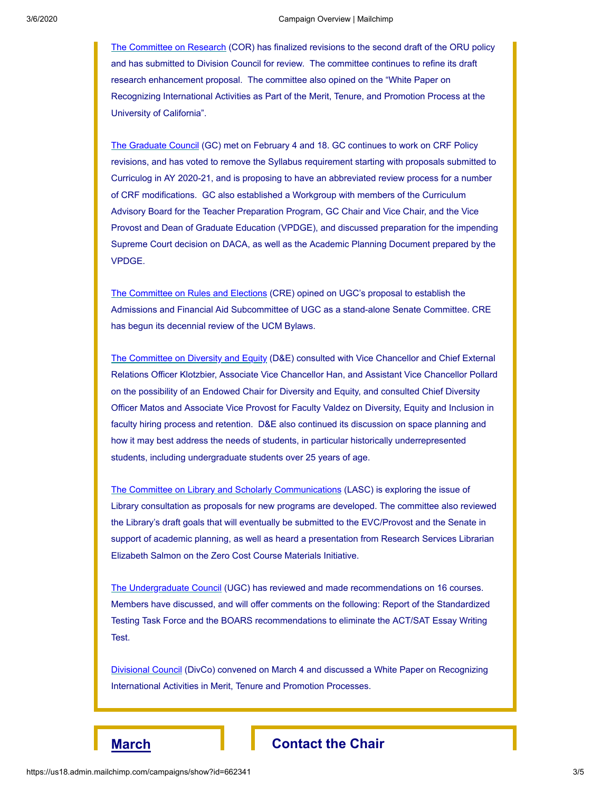[The Committee on Research](https://senate.ucmerced.edu/COR) (COR) has finalized revisions to the second draft of the ORU policy and has submitted to Division Council for review. The committee continues to refine its draft research enhancement proposal. The committee also opined on the "White Paper on Recognizing International Activities as Part of the Merit, Tenure, and Promotion Process at the University of California".

[The Graduate Council](https://senate.ucmerced.edu/GC) (GC) met on February 4 and 18. GC continues to work on CRF Policy revisions, and has voted to remove the Syllabus requirement starting with proposals submitted to Curriculog in AY 2020-21, and is proposing to have an abbreviated review process for a number of CRF modifications. GC also established a Workgroup with members of the Curriculum Advisory Board for the Teacher Preparation Program, GC Chair and Vice Chair, and the Vice Provost and Dean of Graduate Education (VPDGE), and discussed preparation for the impending Supreme Court decision on DACA, as well as the Academic Planning Document prepared by the VPDGE.

[The Committee on Rules and Elections](https://senate.ucmerced.edu/CRE) (CRE) opined on UGC's proposal to establish the Admissions and Financial Aid Subcommittee of UGC as a stand-alone Senate Committee. CRE has begun its decennial review of the UCM Bylaws.

[The Committee on Diversity and Equity](https://senate.ucmerced.edu/DE) (D&E) consulted with Vice Chancellor and Chief External Relations Officer Klotzbier, Associate Vice Chancellor Han, and Assistant Vice Chancellor Pollard on the possibility of an Endowed Chair for Diversity and Equity, and consulted Chief Diversity Officer Matos and Associate Vice Provost for Faculty Valdez on Diversity, Equity and Inclusion in faculty hiring process and retention. D&E also continued its discussion on space planning and how it may best address the needs of students, in particular historically underrepresented students, including undergraduate students over 25 years of age.

[The Committee on Library and Scholarly Communications](https://senate.ucmerced.edu/LASC) (LASC) is exploring the issue of Library consultation as proposals for new programs are developed. The committee also reviewed the Library's draft goals that will eventually be submitted to the EVC/Provost and the Senate in support of academic planning, as well as heard a presentation from Research Services Librarian Elizabeth Salmon on the Zero Cost Course Materials Initiative.

[The Undergraduate Council](https://senate.ucmerced.edu/UGC) (UGC) has reviewed and made recommendations on 16 courses. Members have discussed, and will offer comments on the following: Report of the Standardized Testing Task Force and the BOARS recommendations to eliminate the ACT/SAT Essay Writing Test.

[Divisional Council](https://senate.ucmerced.edu/DivCo) (DivCo) convened on March 4 and discussed a White Paper on Recognizing International Activities in Merit, Tenure and Promotion Processes.

### **March Contact** the Chair